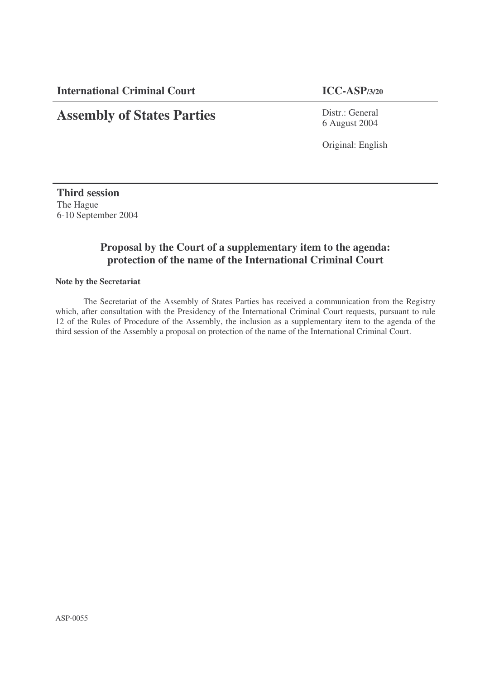**International Criminal Court ICC-ASP/3/20**

# **Assembly of States Parties**

Distr.: General 6 August 2004

Original: English

**Third session** The Hague 6-10 September 2004

## **Proposal by the Court of a supplementary item to the agenda: protection of the name of the International Criminal Court**

### **Note by the Secretariat**

The Secretariat of the Assembly of States Parties has received a communication from the Registry which, after consultation with the Presidency of the International Criminal Court requests, pursuant to rule 12 of the Rules of Procedure of the Assembly, the inclusion as a supplementary item to the agenda of the third session of the Assembly a proposal on protection of the name of the International Criminal Court.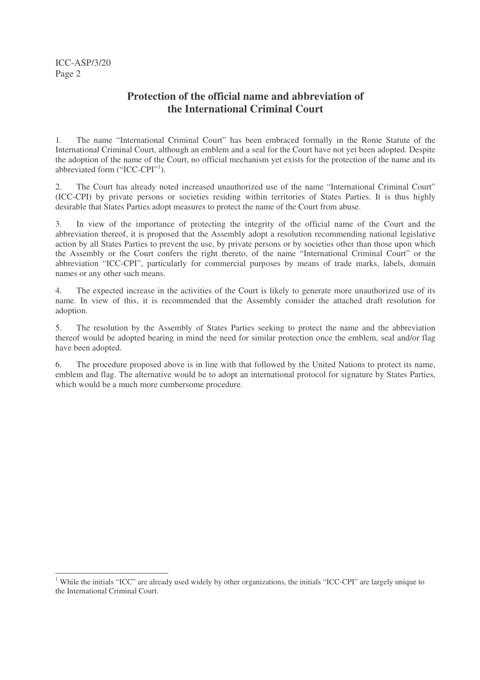## **Protection of the official name and abbreviation of the International Criminal Court**

1. The name "International Criminal Court" has been embraced formally in the Rome Statute of the International Criminal Court, although an emblem and a seal for the Court have not yet been adopted. Despite the adoption of the name of the Court, no official mechanism yet exists for the protection of the name and its abbreviated form ("ICC-CPI"<sup>1</sup>).

2. The Court has already noted increased unauthorized use of the name "International Criminal Court" (ICC-CPI) by private persons or societies residing within territories of States Parties. It is thus highly desirable that States Parties adopt measures to protect the name of the Court from abuse.

3. In view of the importance of protecting the integrity of the official name of the Court and the abbreviation thereof, it is proposed that the Assembly adopt a resolution recommending national legislative action by all States Parties to prevent the use, by private persons or by societies other than those upon which the Assembly or the Court confers the right thereto, of the name "International Criminal Court" or the abbreviation "ICC-CPI", particularly for commercial purposes by means of trade marks, labels, domain names or any other such means.

4. The expected increase in the activities of the Court is likely to generate more unauthorized use of its name. In view of this, it is recommended that the Assembly consider the attached draft resolution for adoption.

5. The resolution by the Assembly of States Parties seeking to protect the name and the abbreviation thereof would be adopted bearing in mind the need for similar protection once the emblem, seal and/or flag have been adopted.

6. The procedure proposed above is in line with that followed by the United Nations to protect its name, emblem and flag. The alternative would be to adopt an international protocol for signature by States Parties, which would be a much more cumbersome procedure.

<sup>&</sup>lt;sup>1</sup> While the initials "ICC" are already used widely by other organizations, the initials "ICC-CPI" are largely unique to the International Criminal Court.